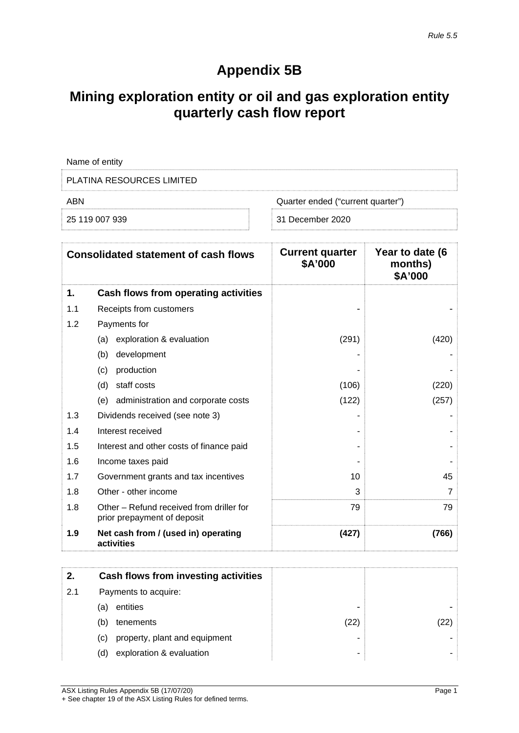# **Appendix 5B**

## **Mining exploration entity or oil and gas exploration entity quarterly cash flow report**

|            | Name of entity                                                          |                                          |                                       |
|------------|-------------------------------------------------------------------------|------------------------------------------|---------------------------------------|
|            | <b>PLATINA RESOURCES LIMITED</b>                                        |                                          |                                       |
| <b>ABN</b> |                                                                         | Quarter ended ("current quarter")        |                                       |
|            | 25 119 007 939                                                          | 31 December 2020                         |                                       |
|            | <b>Consolidated statement of cash flows</b>                             | <b>Current quarter</b><br><b>\$A'000</b> | Year to date (6<br>months)<br>\$A'000 |
| 1.         | Cash flows from operating activities                                    |                                          |                                       |
| 1.1        | Receipts from customers                                                 |                                          |                                       |
| 1.2        | Payments for                                                            |                                          |                                       |
|            | exploration & evaluation<br>(a)                                         | (291)                                    | (420)                                 |
|            | development<br>(b)                                                      |                                          |                                       |
|            | production<br>(c)                                                       |                                          |                                       |
|            | staff costs<br>(d)                                                      | (106)                                    | (220)                                 |
|            | administration and corporate costs<br>(e)                               | (122)                                    | (257)                                 |
| 1.3        | Dividends received (see note 3)                                         |                                          |                                       |
| 1.4        | Interest received                                                       |                                          |                                       |
| 1.5        | Interest and other costs of finance paid                                |                                          |                                       |
| 1.6        | Income taxes paid                                                       |                                          |                                       |
| 1.7        | Government grants and tax incentives                                    | 10                                       | 45                                    |
| 1.8        | Other - other income                                                    | 3                                        | 7                                     |
| 1.8        | Other – Refund received from driller for<br>prior prepayment of deposit | 79                                       | 79                                    |
| 1.9        | Net cash from / (used in) operating<br>activities                       | (427)                                    | (766)                                 |

|     | Cash flows from investing activities |   |  |
|-----|--------------------------------------|---|--|
| 2.1 | Payments to acquire:                 |   |  |
|     | entities<br>(a)                      |   |  |
|     | tenements<br>(b)                     |   |  |
|     | property, plant and equipment<br>(C) | ۰ |  |
|     | exploration & evaluation<br>(d)      | ٠ |  |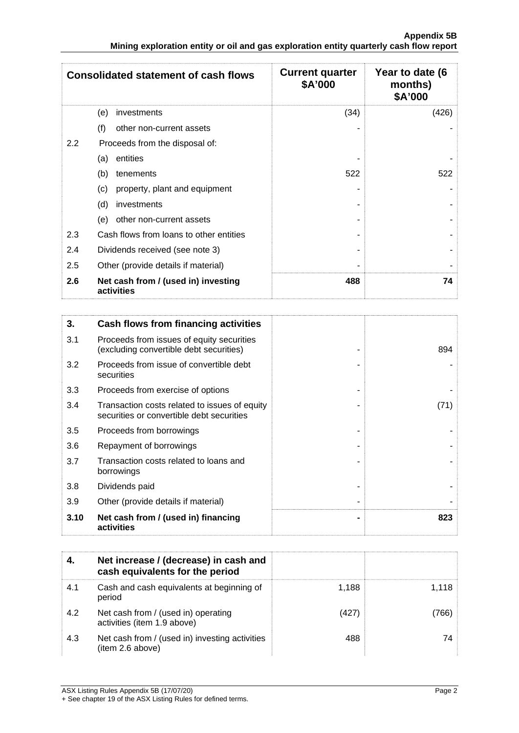|                  | <b>Consolidated statement of cash flows</b>       | <b>Current quarter</b><br>\$A'000 | Year to date (6<br>months)<br>\$A'000 |
|------------------|---------------------------------------------------|-----------------------------------|---------------------------------------|
|                  | (e)<br>investments                                | (34)                              | (426)                                 |
|                  | (f)<br>other non-current assets                   |                                   |                                       |
| $2.2\phantom{0}$ | Proceeds from the disposal of:                    |                                   |                                       |
|                  | entities<br>(a)                                   |                                   |                                       |
|                  | (b)<br>tenements                                  | 522                               | 522                                   |
|                  | property, plant and equipment<br>(c)              |                                   |                                       |
|                  | (d)<br>investments                                |                                   |                                       |
|                  | (e)<br>other non-current assets                   |                                   |                                       |
| 2.3              | Cash flows from loans to other entities           |                                   |                                       |
| 2.4              | Dividends received (see note 3)                   |                                   |                                       |
| 2.5              | Other (provide details if material)               |                                   |                                       |
| 2.6              | Net cash from / (used in) investing<br>activities | 488                               | 74                                    |

| 3.   | Cash flows from financing activities                                                       |      |
|------|--------------------------------------------------------------------------------------------|------|
| 3.1  | Proceeds from issues of equity securities<br>(excluding convertible debt securities)       | 894  |
| 3.2  | Proceeds from issue of convertible debt<br>securities                                      |      |
| 3.3  | Proceeds from exercise of options                                                          |      |
| 3.4  | Transaction costs related to issues of equity<br>securities or convertible debt securities | (71) |
| 3.5  | Proceeds from borrowings                                                                   |      |
| 3.6  | Repayment of borrowings                                                                    |      |
| 3.7  | Transaction costs related to loans and<br>borrowings                                       |      |
| 3.8  | Dividends paid                                                                             |      |
| 3.9  | Other (provide details if material)                                                        |      |
| 3.10 | Net cash from / (used in) financing<br>activities                                          | 823  |

|     | Net increase / (decrease) in cash and<br>cash equivalents for the period |       |  |
|-----|--------------------------------------------------------------------------|-------|--|
| 4.1 | Cash and cash equivalents at beginning of<br>period                      | 1.188 |  |
| 42  | Net cash from / (used in) operating<br>activities (item 1.9 above)       | (427) |  |
| 4.3 | Net cash from / (used in) investing activities<br>(item 2.6 above)       | 488   |  |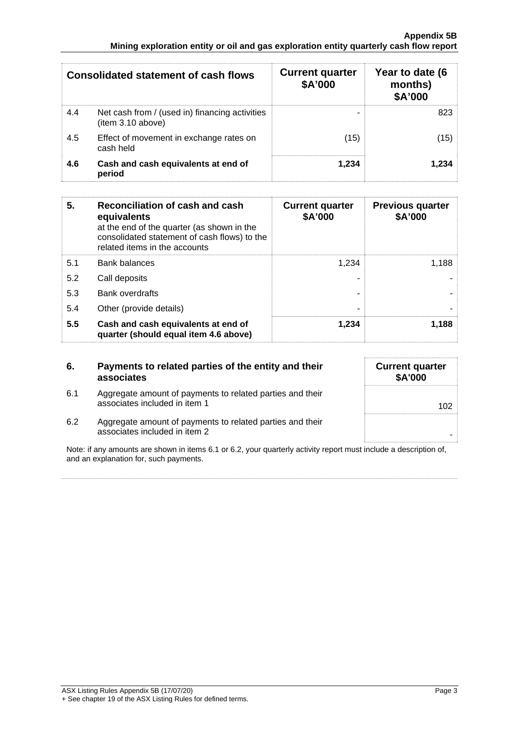|     | Consolidated statement of cash flows                                | <b>Current quarter</b><br>\$A'000 | Year to date (6<br>months)<br><b>\$A'000</b> |
|-----|---------------------------------------------------------------------|-----------------------------------|----------------------------------------------|
| 4.4 | Net cash from / (used in) financing activities<br>(item 3.10 above) | -                                 |                                              |
| 4.5 | Effect of movement in exchange rates on<br>cash held                | 15)                               |                                              |
| 4.6 | Cash and cash equivalents at end of<br>period                       | $-234$                            |                                              |

| 5.  | Reconciliation of cash and cash<br>equivalents<br>at the end of the quarter (as shown in the<br>consolidated statement of cash flows) to the<br>related items in the accounts | <b>Current quarter</b><br>\$A'000 | <b>Previous quarter</b><br>\$A'000 |
|-----|-------------------------------------------------------------------------------------------------------------------------------------------------------------------------------|-----------------------------------|------------------------------------|
| 5.1 | <b>Bank balances</b>                                                                                                                                                          | 1.234                             | 1.188                              |
| 5.2 | Call deposits                                                                                                                                                                 |                                   |                                    |
| 5.3 | <b>Bank overdrafts</b>                                                                                                                                                        |                                   |                                    |
| 5.4 | Other (provide details)                                                                                                                                                       |                                   |                                    |
| 5.5 | Cash and cash equivalents at end of<br>quarter (should equal item 4.6 above)                                                                                                  | 1.234                             | 1.188                              |

| Payments to related parties of the entity and their<br>associates                          | <b>Current quarter</b><br>\$A'000 |
|--------------------------------------------------------------------------------------------|-----------------------------------|
| Aggregate amount of payments to related parties and their<br>associates included in item 1 | 102                               |
| Aggregate amount of payments to related parties and their<br>associates included in item 2 |                                   |
|                                                                                            |                                   |

Note: if any amounts are shown in items 6.1 or 6.2, your quarterly activity report must include a description of, and an explanation for, such payments.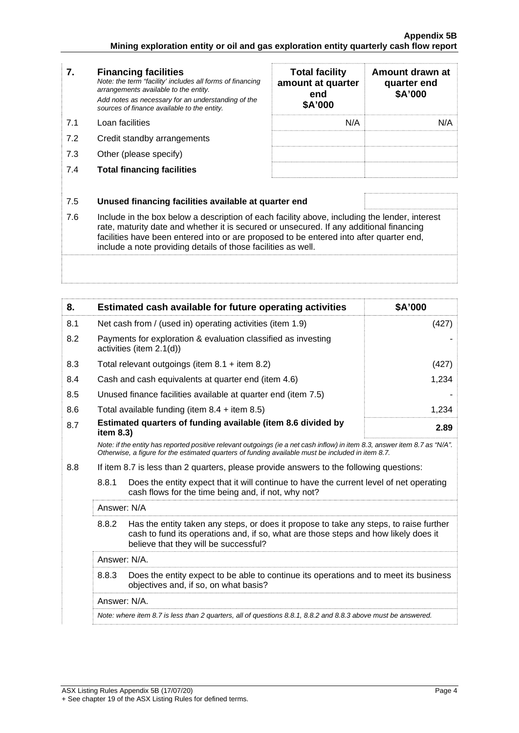| 7.  | <b>Financing facilities</b><br>Note: the term "facility' includes all forms of financing<br>arrangements available to the entity.<br>Add notes as necessary for an understanding of the<br>sources of finance available to the entity.                                                                                                               | <b>Total facility</b><br>amount at quarter<br>end<br>\$A'000 | Amount drawn at<br>quarter end<br>\$A'000 |
|-----|------------------------------------------------------------------------------------------------------------------------------------------------------------------------------------------------------------------------------------------------------------------------------------------------------------------------------------------------------|--------------------------------------------------------------|-------------------------------------------|
| 7.1 | Loan facilities                                                                                                                                                                                                                                                                                                                                      | N/A                                                          | N/A                                       |
| 7.2 | Credit standby arrangements                                                                                                                                                                                                                                                                                                                          |                                                              |                                           |
| 7.3 | Other (please specify)                                                                                                                                                                                                                                                                                                                               |                                                              |                                           |
| 7.4 | <b>Total financing facilities</b>                                                                                                                                                                                                                                                                                                                    |                                                              |                                           |
|     |                                                                                                                                                                                                                                                                                                                                                      |                                                              |                                           |
| 7.5 | Unused financing facilities available at quarter end                                                                                                                                                                                                                                                                                                 |                                                              |                                           |
| 7.6 | Include in the box below a description of each facility above, including the lender, interest<br>rate, maturity date and whether it is secured or unsecured. If any additional financing<br>facilities have been entered into or are proposed to be entered into after quarter end,<br>include a note providing details of those facilities as well. |                                                              |                                           |
|     |                                                                                                                                                                                                                                                                                                                                                      |                                                              |                                           |

| 8.                                                                                                                                                      | Estimated cash available for future operating activities                                                                                                                                                                        | \$A'000 |  |
|---------------------------------------------------------------------------------------------------------------------------------------------------------|---------------------------------------------------------------------------------------------------------------------------------------------------------------------------------------------------------------------------------|---------|--|
| 8.1                                                                                                                                                     | Net cash from / (used in) operating activities (item 1.9)                                                                                                                                                                       | (427)   |  |
| 8.2                                                                                                                                                     | Payments for exploration & evaluation classified as investing<br>activities (item 2.1(d))                                                                                                                                       |         |  |
| 8.3                                                                                                                                                     | Total relevant outgoings (item $8.1 +$ item $8.2$ )                                                                                                                                                                             | (427)   |  |
| 8.4                                                                                                                                                     | Cash and cash equivalents at quarter end (item 4.6)                                                                                                                                                                             | 1,234   |  |
| 8.5                                                                                                                                                     | Unused finance facilities available at quarter end (item 7.5)                                                                                                                                                                   |         |  |
| 8.6                                                                                                                                                     | Total available funding (item $8.4 +$ item $8.5$ )                                                                                                                                                                              | 1,234   |  |
| Estimated quarters of funding available (item 8.6 divided by<br>8.7<br>item 8.3)                                                                        |                                                                                                                                                                                                                                 | 2.89    |  |
|                                                                                                                                                         | Note: if the entity has reported positive relevant outgoings (ie a net cash inflow) in item 8.3, answer item 8.7 as "N/A".<br>Otherwise, a figure for the estimated quarters of funding available must be included in item 8.7. |         |  |
| 8.8                                                                                                                                                     | If item 8.7 is less than 2 quarters, please provide answers to the following questions:                                                                                                                                         |         |  |
| 8.8.1<br>Does the entity expect that it will continue to have the current level of net operating<br>cash flows for the time being and, if not, why not? |                                                                                                                                                                                                                                 |         |  |
|                                                                                                                                                         | Answer: N/A                                                                                                                                                                                                                     |         |  |
|                                                                                                                                                         | 8.8.2<br>Has the entity taken any steps, or does it propose to take any steps, to raise further<br>cash to fund its operations and, if so, what are those steps and how likely does it<br>believe that they will be successful? |         |  |
|                                                                                                                                                         | Answer: N/A.                                                                                                                                                                                                                    |         |  |
|                                                                                                                                                         | 8.8.3<br>Does the entity expect to be able to continue its operations and to meet its business<br>objectives and, if so, on what basis?                                                                                         |         |  |
|                                                                                                                                                         | Answer: N/A.                                                                                                                                                                                                                    |         |  |
|                                                                                                                                                         | Note: where item 8.7 is less than 2 quarters, all of questions 8.8.1, 8.8.2 and 8.8.3 above must be answered.                                                                                                                   |         |  |